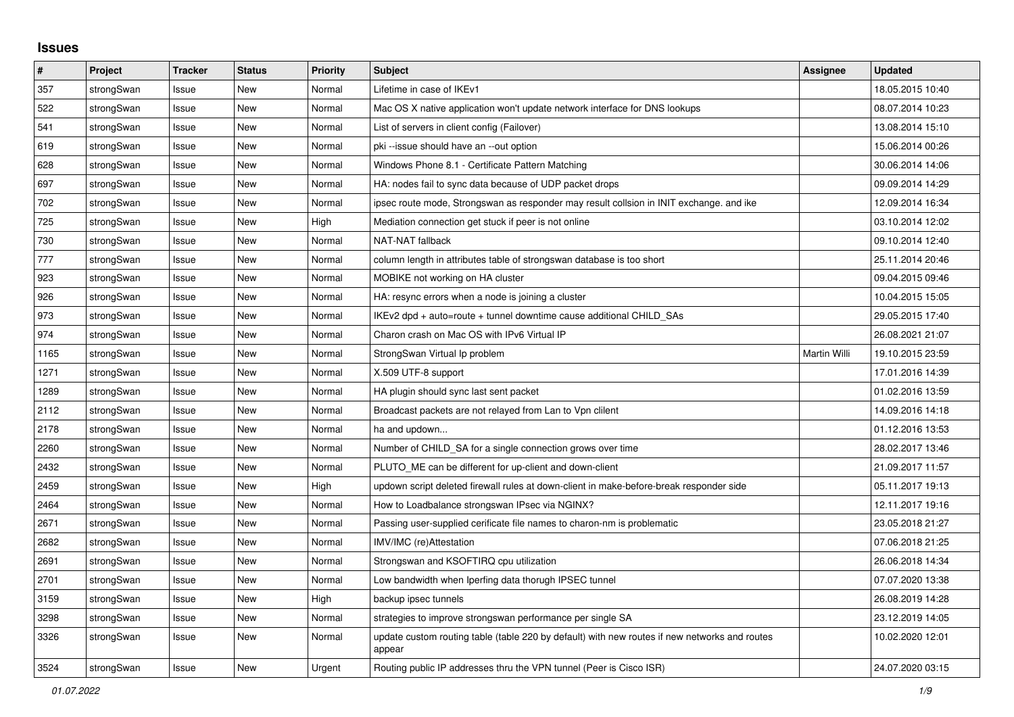## **Issues**

| #    | Project    | <b>Tracker</b> | <b>Status</b> | <b>Priority</b> | <b>Subject</b>                                                                                          | <b>Assignee</b> | <b>Updated</b>   |
|------|------------|----------------|---------------|-----------------|---------------------------------------------------------------------------------------------------------|-----------------|------------------|
| 357  | strongSwan | Issue          | <b>New</b>    | Normal          | Lifetime in case of IKEv1                                                                               |                 | 18.05.2015 10:40 |
| 522  | strongSwan | Issue          | New           | Normal          | Mac OS X native application won't update network interface for DNS lookups                              |                 | 08.07.2014 10:23 |
| 541  | strongSwan | Issue          | New           | Normal          | List of servers in client config (Failover)                                                             |                 | 13.08.2014 15:10 |
| 619  | strongSwan | Issue          | New           | Normal          | pki --issue should have an --out option                                                                 |                 | 15.06.2014 00:26 |
| 628  | strongSwan | Issue          | <b>New</b>    | Normal          | Windows Phone 8.1 - Certificate Pattern Matching                                                        |                 | 30.06.2014 14:06 |
| 697  | strongSwan | Issue          | New           | Normal          | HA: nodes fail to sync data because of UDP packet drops                                                 |                 | 09.09.2014 14:29 |
| 702  | strongSwan | Issue          | New           | Normal          | ipsec route mode, Strongswan as responder may result collsion in INIT exchange. and ike                 |                 | 12.09.2014 16:34 |
| 725  | strongSwan | Issue          | <b>New</b>    | High            | Mediation connection get stuck if peer is not online                                                    |                 | 03.10.2014 12:02 |
| 730  | strongSwan | Issue          | <b>New</b>    | Normal          | NAT-NAT fallback                                                                                        |                 | 09.10.2014 12:40 |
| 777  | strongSwan | Issue          | New           | Normal          | column length in attributes table of strongswan database is too short                                   |                 | 25.11.2014 20:46 |
| 923  | strongSwan | Issue          | New           | Normal          | MOBIKE not working on HA cluster                                                                        |                 | 09.04.2015 09:46 |
| 926  | strongSwan | Issue          | New           | Normal          | HA: resync errors when a node is joining a cluster                                                      |                 | 10.04.2015 15:05 |
| 973  | strongSwan | Issue          | New           | Normal          | IKEv2 dpd + auto=route + tunnel downtime cause additional CHILD SAs                                     |                 | 29.05.2015 17:40 |
| 974  | strongSwan | Issue          | <b>New</b>    | Normal          | Charon crash on Mac OS with IPv6 Virtual IP                                                             |                 | 26.08.2021 21:07 |
| 1165 | strongSwan | Issue          | <b>New</b>    | Normal          | StrongSwan Virtual Ip problem                                                                           | Martin Willi    | 19.10.2015 23:59 |
| 1271 | strongSwan | Issue          | <b>New</b>    | Normal          | X.509 UTF-8 support                                                                                     |                 | 17.01.2016 14:39 |
| 1289 | strongSwan | Issue          | New           | Normal          | HA plugin should sync last sent packet                                                                  |                 | 01.02.2016 13:59 |
| 2112 | strongSwan | Issue          | <b>New</b>    | Normal          | Broadcast packets are not relayed from Lan to Vpn clilent                                               |                 | 14.09.2016 14:18 |
| 2178 | strongSwan | Issue          | <b>New</b>    | Normal          | ha and updown                                                                                           |                 | 01.12.2016 13:53 |
| 2260 | strongSwan | Issue          | New           | Normal          | Number of CHILD_SA for a single connection grows over time                                              |                 | 28.02.2017 13:46 |
| 2432 | strongSwan | Issue          | <b>New</b>    | Normal          | PLUTO_ME can be different for up-client and down-client                                                 |                 | 21.09.2017 11:57 |
| 2459 | strongSwan | Issue          | New           | High            | updown script deleted firewall rules at down-client in make-before-break responder side                 |                 | 05.11.2017 19:13 |
| 2464 | strongSwan | Issue          | New           | Normal          | How to Loadbalance strongswan IPsec via NGINX?                                                          |                 | 12.11.2017 19:16 |
| 2671 | strongSwan | Issue          | New           | Normal          | Passing user-supplied cerificate file names to charon-nm is problematic                                 |                 | 23.05.2018 21:27 |
| 2682 | strongSwan | Issue          | <b>New</b>    | Normal          | IMV/IMC (re)Attestation                                                                                 |                 | 07.06.2018 21:25 |
| 2691 | strongSwan | Issue          | <b>New</b>    | Normal          | Strongswan and KSOFTIRQ cpu utilization                                                                 |                 | 26.06.2018 14:34 |
| 2701 | strongSwan | Issue          | New           | Normal          | Low bandwidth when Iperfing data thorugh IPSEC tunnel                                                   |                 | 07.07.2020 13:38 |
| 3159 | strongSwan | Issue          | New           | High            | backup ipsec tunnels                                                                                    |                 | 26.08.2019 14:28 |
| 3298 | strongSwan | Issue          | New           | Normal          | strategies to improve strongswan performance per single SA                                              |                 | 23.12.2019 14:05 |
| 3326 | strongSwan | Issue          | New           | Normal          | update custom routing table (table 220 by default) with new routes if new networks and routes<br>appear |                 | 10.02.2020 12:01 |
| 3524 | strongSwan | Issue          | New           | Urgent          | Routing public IP addresses thru the VPN tunnel (Peer is Cisco ISR)                                     |                 | 24.07.2020 03:15 |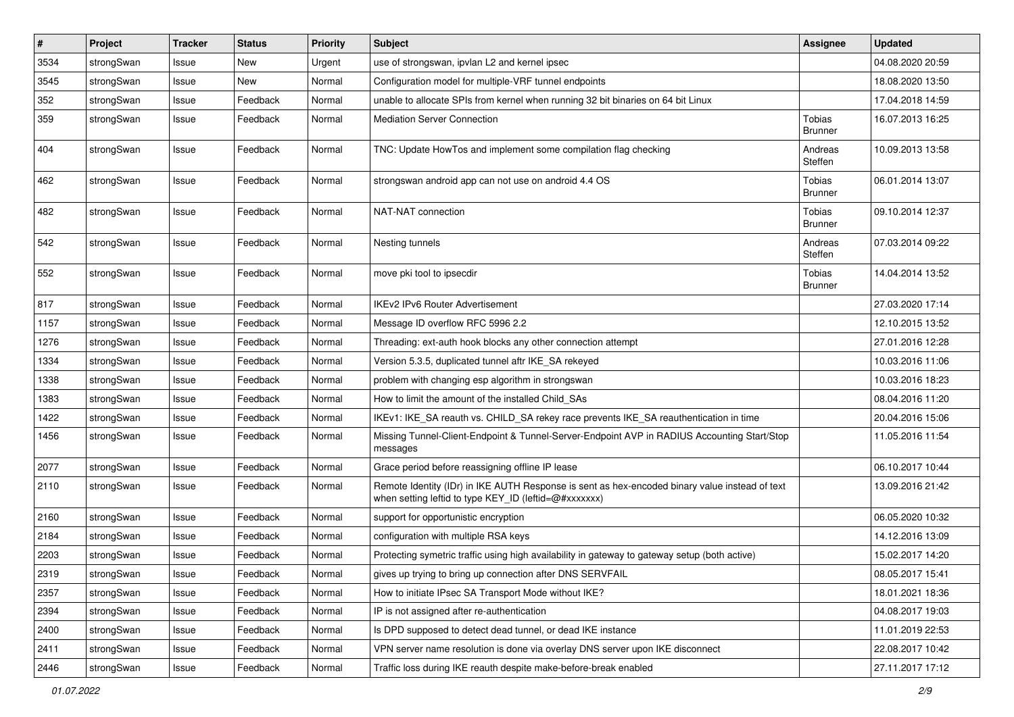| $\pmb{\#}$ | Project    | Tracker | <b>Status</b> | <b>Priority</b> | <b>Subject</b>                                                                                                                                          | <b>Assignee</b>                 | <b>Updated</b>   |
|------------|------------|---------|---------------|-----------------|---------------------------------------------------------------------------------------------------------------------------------------------------------|---------------------------------|------------------|
| 3534       | strongSwan | Issue   | <b>New</b>    | Urgent          | use of strongswan, ipvlan L2 and kernel ipsec                                                                                                           |                                 | 04.08.2020 20:59 |
| 3545       | strongSwan | Issue   | <b>New</b>    | Normal          | Configuration model for multiple-VRF tunnel endpoints                                                                                                   |                                 | 18.08.2020 13:50 |
| 352        | strongSwan | Issue   | Feedback      | Normal          | unable to allocate SPIs from kernel when running 32 bit binaries on 64 bit Linux                                                                        |                                 | 17.04.2018 14:59 |
| 359        | strongSwan | Issue   | Feedback      | Normal          | <b>Mediation Server Connection</b>                                                                                                                      | <b>Tobias</b><br><b>Brunner</b> | 16.07.2013 16:25 |
| 404        | strongSwan | Issue   | Feedback      | Normal          | TNC: Update HowTos and implement some compilation flag checking                                                                                         | Andreas<br>Steffen              | 10.09.2013 13:58 |
| 462        | strongSwan | Issue   | Feedback      | Normal          | strongswan android app can not use on android 4.4 OS                                                                                                    | Tobias<br><b>Brunner</b>        | 06.01.2014 13:07 |
| 482        | strongSwan | Issue   | Feedback      | Normal          | NAT-NAT connection                                                                                                                                      | Tobias<br><b>Brunner</b>        | 09.10.2014 12:37 |
| 542        | strongSwan | Issue   | Feedback      | Normal          | Nesting tunnels                                                                                                                                         | Andreas<br>Steffen              | 07.03.2014 09:22 |
| 552        | strongSwan | Issue   | Feedback      | Normal          | move pki tool to ipsecdir                                                                                                                               | Tobias<br><b>Brunner</b>        | 14.04.2014 13:52 |
| 817        | strongSwan | Issue   | Feedback      | Normal          | <b>IKEv2 IPv6 Router Advertisement</b>                                                                                                                  |                                 | 27.03.2020 17:14 |
| 1157       | strongSwan | Issue   | Feedback      | Normal          | Message ID overflow RFC 5996 2.2                                                                                                                        |                                 | 12.10.2015 13:52 |
| 1276       | strongSwan | Issue   | Feedback      | Normal          | Threading: ext-auth hook blocks any other connection attempt                                                                                            |                                 | 27.01.2016 12:28 |
| 1334       | strongSwan | Issue   | Feedback      | Normal          | Version 5.3.5, duplicated tunnel aftr IKE_SA rekeyed                                                                                                    |                                 | 10.03.2016 11:06 |
| 1338       | strongSwan | Issue   | Feedback      | Normal          | problem with changing esp algorithm in strongswan                                                                                                       |                                 | 10.03.2016 18:23 |
| 1383       | strongSwan | Issue   | Feedback      | Normal          | How to limit the amount of the installed Child_SAs                                                                                                      |                                 | 08.04.2016 11:20 |
| 1422       | strongSwan | Issue   | Feedback      | Normal          | IKEv1: IKE_SA reauth vs. CHILD_SA rekey race prevents IKE_SA reauthentication in time                                                                   |                                 | 20.04.2016 15:06 |
| 1456       | strongSwan | Issue   | Feedback      | Normal          | Missing Tunnel-Client-Endpoint & Tunnel-Server-Endpoint AVP in RADIUS Accounting Start/Stop<br>messages                                                 |                                 | 11.05.2016 11:54 |
| 2077       | strongSwan | Issue   | Feedback      | Normal          | Grace period before reassigning offline IP lease                                                                                                        |                                 | 06.10.2017 10:44 |
| 2110       | strongSwan | Issue   | Feedback      | Normal          | Remote Identity (IDr) in IKE AUTH Response is sent as hex-encoded binary value instead of text<br>when setting leftid to type KEY_ID (leftid=@#xxxxxxx) |                                 | 13.09.2016 21:42 |
| 2160       | strongSwan | Issue   | Feedback      | Normal          | support for opportunistic encryption                                                                                                                    |                                 | 06.05.2020 10:32 |
| 2184       | strongSwan | Issue   | Feedback      | Normal          | configuration with multiple RSA keys                                                                                                                    |                                 | 14.12.2016 13:09 |
| 2203       | strongSwan | Issue   | Feedback      | Normal          | Protecting symetric traffic using high availability in gateway to gateway setup (both active)                                                           |                                 | 15.02.2017 14:20 |
| 2319       | strongSwan | Issue   | Feedback      | Normal          | gives up trying to bring up connection after DNS SERVFAIL                                                                                               |                                 | 08.05.2017 15:41 |
| 2357       | strongSwan | Issue   | Feedback      | Normal          | How to initiate IPsec SA Transport Mode without IKE?                                                                                                    |                                 | 18.01.2021 18:36 |
| 2394       | strongSwan | Issue   | Feedback      | Normal          | IP is not assigned after re-authentication                                                                                                              |                                 | 04.08.2017 19:03 |
| 2400       | strongSwan | Issue   | Feedback      | Normal          | Is DPD supposed to detect dead tunnel, or dead IKE instance                                                                                             |                                 | 11.01.2019 22:53 |
| 2411       | strongSwan | Issue   | Feedback      | Normal          | VPN server name resolution is done via overlay DNS server upon IKE disconnect                                                                           |                                 | 22.08.2017 10:42 |
| 2446       | strongSwan | Issue   | Feedback      | Normal          | Traffic loss during IKE reauth despite make-before-break enabled                                                                                        |                                 | 27.11.2017 17:12 |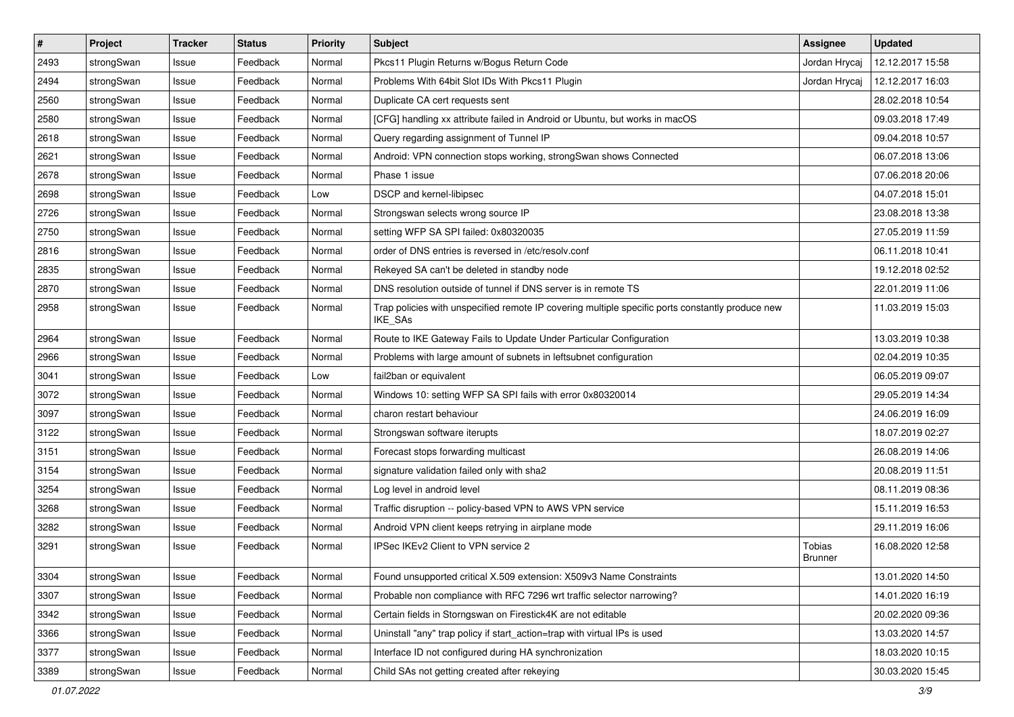| $\sharp$ | Project    | <b>Tracker</b> | <b>Status</b> | <b>Priority</b> | <b>Subject</b>                                                                                              | <b>Assignee</b>          | <b>Updated</b>   |
|----------|------------|----------------|---------------|-----------------|-------------------------------------------------------------------------------------------------------------|--------------------------|------------------|
| 2493     | strongSwan | Issue          | Feedback      | Normal          | Pkcs11 Plugin Returns w/Bogus Return Code                                                                   | Jordan Hrycaj            | 12.12.2017 15:58 |
| 2494     | strongSwan | Issue          | Feedback      | Normal          | Problems With 64bit Slot IDs With Pkcs11 Plugin                                                             | Jordan Hrycaj            | 12.12.2017 16:03 |
| 2560     | strongSwan | Issue          | Feedback      | Normal          | Duplicate CA cert requests sent                                                                             |                          | 28.02.2018 10:54 |
| 2580     | strongSwan | Issue          | Feedback      | Normal          | [CFG] handling xx attribute failed in Android or Ubuntu, but works in macOS                                 |                          | 09.03.2018 17:49 |
| 2618     | strongSwan | Issue          | Feedback      | Normal          | Query regarding assignment of Tunnel IP                                                                     |                          | 09.04.2018 10:57 |
| 2621     | strongSwan | Issue          | Feedback      | Normal          | Android: VPN connection stops working, strongSwan shows Connected                                           |                          | 06.07.2018 13:06 |
| 2678     | strongSwan | Issue          | Feedback      | Normal          | Phase 1 issue                                                                                               |                          | 07.06.2018 20:06 |
| 2698     | strongSwan | Issue          | Feedback      | Low             | DSCP and kernel-libipsec                                                                                    |                          | 04.07.2018 15:01 |
| 2726     | strongSwan | Issue          | Feedback      | Normal          | Strongswan selects wrong source IP                                                                          |                          | 23.08.2018 13:38 |
| 2750     | strongSwan | Issue          | Feedback      | Normal          | setting WFP SA SPI failed: 0x80320035                                                                       |                          | 27.05.2019 11:59 |
| 2816     | strongSwan | Issue          | Feedback      | Normal          | order of DNS entries is reversed in /etc/resolv.conf                                                        |                          | 06.11.2018 10:41 |
| 2835     | strongSwan | Issue          | Feedback      | Normal          | Rekeyed SA can't be deleted in standby node                                                                 |                          | 19.12.2018 02:52 |
| 2870     | strongSwan | Issue          | Feedback      | Normal          | DNS resolution outside of tunnel if DNS server is in remote TS                                              |                          | 22.01.2019 11:06 |
| 2958     | strongSwan | Issue          | Feedback      | Normal          | Trap policies with unspecified remote IP covering multiple specific ports constantly produce new<br>IKE_SAs |                          | 11.03.2019 15:03 |
| 2964     | strongSwan | Issue          | Feedback      | Normal          | Route to IKE Gateway Fails to Update Under Particular Configuration                                         |                          | 13.03.2019 10:38 |
| 2966     | strongSwan | Issue          | Feedback      | Normal          | Problems with large amount of subnets in leftsubnet configuration                                           |                          | 02.04.2019 10:35 |
| 3041     | strongSwan | Issue          | Feedback      | Low             | fail2ban or equivalent                                                                                      |                          | 06.05.2019 09:07 |
| 3072     | strongSwan | Issue          | Feedback      | Normal          | Windows 10: setting WFP SA SPI fails with error 0x80320014                                                  |                          | 29.05.2019 14:34 |
| 3097     | strongSwan | Issue          | Feedback      | Normal          | charon restart behaviour                                                                                    |                          | 24.06.2019 16:09 |
| 3122     | strongSwan | Issue          | Feedback      | Normal          | Strongswan software iterupts                                                                                |                          | 18.07.2019 02:27 |
| 3151     | strongSwan | Issue          | Feedback      | Normal          | Forecast stops forwarding multicast                                                                         |                          | 26.08.2019 14:06 |
| 3154     | strongSwan | Issue          | Feedback      | Normal          | signature validation failed only with sha2                                                                  |                          | 20.08.2019 11:51 |
| 3254     | strongSwan | Issue          | Feedback      | Normal          | Log level in android level                                                                                  |                          | 08.11.2019 08:36 |
| 3268     | strongSwan | Issue          | Feedback      | Normal          | Traffic disruption -- policy-based VPN to AWS VPN service                                                   |                          | 15.11.2019 16:53 |
| 3282     | strongSwan | Issue          | Feedback      | Normal          | Android VPN client keeps retrying in airplane mode                                                          |                          | 29.11.2019 16:06 |
| 3291     | strongSwan | Issue          | Feedback      | Normal          | IPSec IKEv2 Client to VPN service 2                                                                         | Tobias<br><b>Brunner</b> | 16.08.2020 12:58 |
| 3304     | strongSwan | Issue          | Feedback      | Normal          | Found unsupported critical X.509 extension: X509v3 Name Constraints                                         |                          | 13.01.2020 14:50 |
| 3307     | strongSwan | Issue          | Feedback      | Normal          | Probable non compliance with RFC 7296 wrt traffic selector narrowing?                                       |                          | 14.01.2020 16:19 |
| 3342     | strongSwan | Issue          | Feedback      | Normal          | Certain fields in Storngswan on Firestick4K are not editable                                                |                          | 20.02.2020 09:36 |
| 3366     | strongSwan | Issue          | Feedback      | Normal          | Uninstall "any" trap policy if start_action=trap with virtual IPs is used                                   |                          | 13.03.2020 14:57 |
| 3377     | strongSwan | Issue          | Feedback      | Normal          | Interface ID not configured during HA synchronization                                                       |                          | 18.03.2020 10:15 |
| 3389     | strongSwan | Issue          | Feedback      | Normal          | Child SAs not getting created after rekeying                                                                |                          | 30.03.2020 15:45 |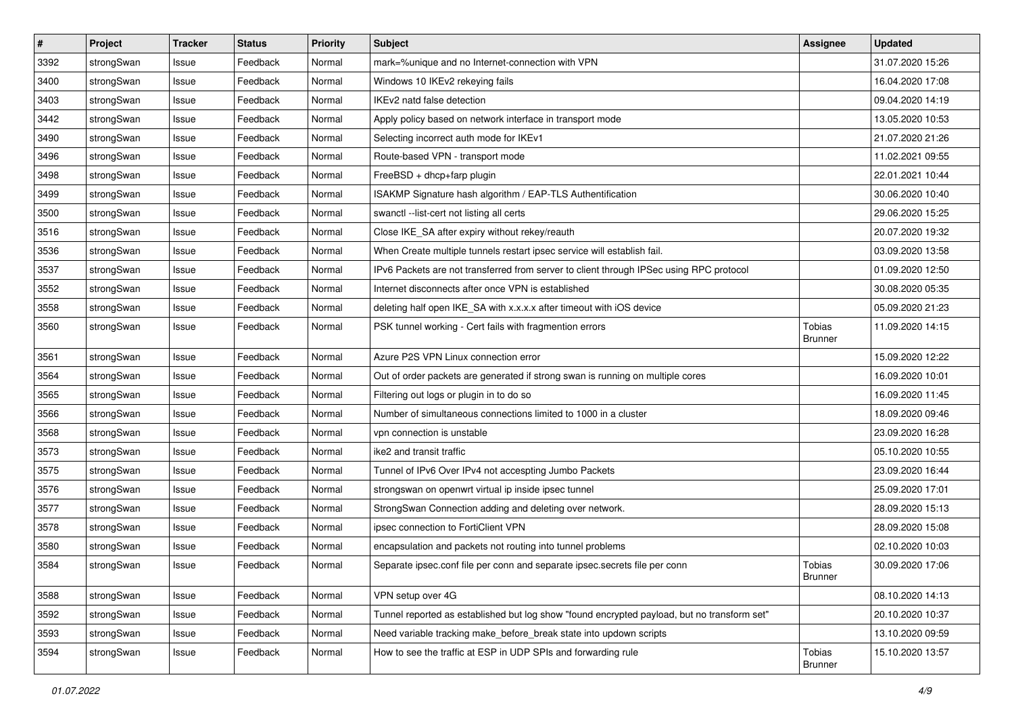| #    | Project    | <b>Tracker</b> | <b>Status</b> | <b>Priority</b> | <b>Subject</b>                                                                              | Assignee                 | <b>Updated</b>   |
|------|------------|----------------|---------------|-----------------|---------------------------------------------------------------------------------------------|--------------------------|------------------|
| 3392 | strongSwan | Issue          | Feedback      | Normal          | mark=%unique and no Internet-connection with VPN                                            |                          | 31.07.2020 15:26 |
| 3400 | strongSwan | Issue          | Feedback      | Normal          | Windows 10 IKEv2 rekeying fails                                                             |                          | 16.04.2020 17:08 |
| 3403 | strongSwan | Issue          | Feedback      | Normal          | IKEv2 natd false detection                                                                  |                          | 09.04.2020 14:19 |
| 3442 | strongSwan | Issue          | Feedback      | Normal          | Apply policy based on network interface in transport mode                                   |                          | 13.05.2020 10:53 |
| 3490 | strongSwan | Issue          | Feedback      | Normal          | Selecting incorrect auth mode for IKEv1                                                     |                          | 21.07.2020 21:26 |
| 3496 | strongSwan | Issue          | Feedback      | Normal          | Route-based VPN - transport mode                                                            |                          | 11.02.2021 09:55 |
| 3498 | strongSwan | Issue          | Feedback      | Normal          | FreeBSD + dhcp+farp plugin                                                                  |                          | 22.01.2021 10:44 |
| 3499 | strongSwan | Issue          | Feedback      | Normal          | ISAKMP Signature hash algorithm / EAP-TLS Authentification                                  |                          | 30.06.2020 10:40 |
| 3500 | strongSwan | Issue          | Feedback      | Normal          | swanctl --list-cert not listing all certs                                                   |                          | 29.06.2020 15:25 |
| 3516 | strongSwan | Issue          | Feedback      | Normal          | Close IKE_SA after expiry without rekey/reauth                                              |                          | 20.07.2020 19:32 |
| 3536 | strongSwan | Issue          | Feedback      | Normal          | When Create multiple tunnels restart ipsec service will establish fail.                     |                          | 03.09.2020 13:58 |
| 3537 | strongSwan | Issue          | Feedback      | Normal          | IPv6 Packets are not transferred from server to client through IPSec using RPC protocol     |                          | 01.09.2020 12:50 |
| 3552 | strongSwan | Issue          | Feedback      | Normal          | Internet disconnects after once VPN is established                                          |                          | 30.08.2020 05:35 |
| 3558 | strongSwan | Issue          | Feedback      | Normal          | deleting half open IKE_SA with x.x.x.x after timeout with iOS device                        |                          | 05.09.2020 21:23 |
| 3560 | strongSwan | Issue          | Feedback      | Normal          | PSK tunnel working - Cert fails with fragmention errors                                     | Tobias<br><b>Brunner</b> | 11.09.2020 14:15 |
| 3561 | strongSwan | Issue          | Feedback      | Normal          | Azure P2S VPN Linux connection error                                                        |                          | 15.09.2020 12:22 |
| 3564 | strongSwan | Issue          | Feedback      | Normal          | Out of order packets are generated if strong swan is running on multiple cores              |                          | 16.09.2020 10:01 |
| 3565 | strongSwan | Issue          | Feedback      | Normal          | Filtering out logs or plugin in to do so                                                    |                          | 16.09.2020 11:45 |
| 3566 | strongSwan | Issue          | Feedback      | Normal          | Number of simultaneous connections limited to 1000 in a cluster                             |                          | 18.09.2020 09:46 |
| 3568 | strongSwan | Issue          | Feedback      | Normal          | vpn connection is unstable                                                                  |                          | 23.09.2020 16:28 |
| 3573 | strongSwan | Issue          | Feedback      | Normal          | ike2 and transit traffic                                                                    |                          | 05.10.2020 10:55 |
| 3575 | strongSwan | Issue          | Feedback      | Normal          | Tunnel of IPv6 Over IPv4 not accespting Jumbo Packets                                       |                          | 23.09.2020 16:44 |
| 3576 | strongSwan | Issue          | Feedback      | Normal          | strongswan on openwrt virtual ip inside ipsec tunnel                                        |                          | 25.09.2020 17:01 |
| 3577 | strongSwan | Issue          | Feedback      | Normal          | StrongSwan Connection adding and deleting over network.                                     |                          | 28.09.2020 15:13 |
| 3578 | strongSwan | Issue          | Feedback      | Normal          | ipsec connection to FortiClient VPN                                                         |                          | 28.09.2020 15:08 |
| 3580 | strongSwan | Issue          | Feedback      | Normal          | encapsulation and packets not routing into tunnel problems                                  |                          | 02.10.2020 10:03 |
| 3584 | strongSwan | Issue          | Feedback      | Normal          | Separate ipsec.conf file per conn and separate ipsec.secrets file per conn                  | Tobias<br>Brunner        | 30.09.2020 17:06 |
| 3588 | strongSwan | Issue          | Feedback      | Normal          | VPN setup over 4G                                                                           |                          | 08.10.2020 14:13 |
| 3592 | strongSwan | Issue          | Feedback      | Normal          | Tunnel reported as established but log show "found encrypted payload, but no transform set" |                          | 20.10.2020 10:37 |
| 3593 | strongSwan | Issue          | Feedback      | Normal          | Need variable tracking make_before_break state into updown scripts                          |                          | 13.10.2020 09:59 |
| 3594 | strongSwan | Issue          | Feedback      | Normal          | How to see the traffic at ESP in UDP SPIs and forwarding rule                               | Tobias<br>Brunner        | 15.10.2020 13:57 |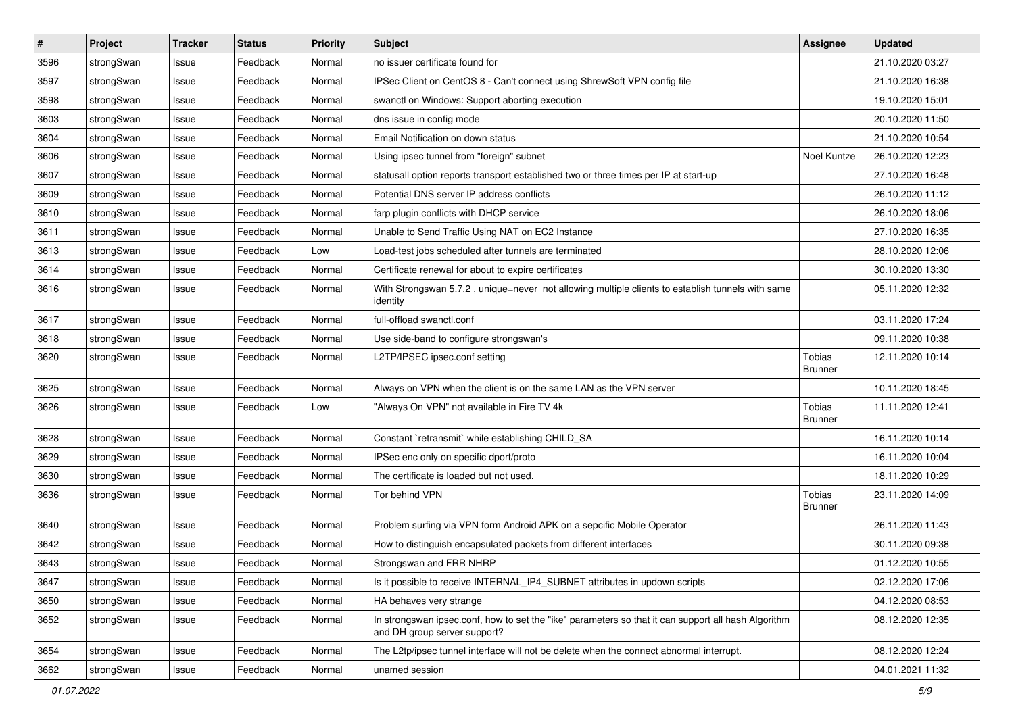| $\sharp$ | Project    | <b>Tracker</b> | <b>Status</b> | <b>Priority</b> | <b>Subject</b>                                                                                                                      | Assignee                 | <b>Updated</b>   |
|----------|------------|----------------|---------------|-----------------|-------------------------------------------------------------------------------------------------------------------------------------|--------------------------|------------------|
| 3596     | strongSwan | Issue          | Feedback      | Normal          | no issuer certificate found for                                                                                                     |                          | 21.10.2020 03:27 |
| 3597     | strongSwan | Issue          | Feedback      | Normal          | IPSec Client on CentOS 8 - Can't connect using ShrewSoft VPN config file                                                            |                          | 21.10.2020 16:38 |
| 3598     | strongSwan | Issue          | Feedback      | Normal          | swanctl on Windows: Support aborting execution                                                                                      |                          | 19.10.2020 15:01 |
| 3603     | strongSwan | Issue          | Feedback      | Normal          | dns issue in config mode                                                                                                            |                          | 20.10.2020 11:50 |
| 3604     | strongSwan | Issue          | Feedback      | Normal          | Email Notification on down status                                                                                                   |                          | 21.10.2020 10:54 |
| 3606     | strongSwan | Issue          | Feedback      | Normal          | Using ipsec tunnel from "foreign" subnet                                                                                            | Noel Kuntze              | 26.10.2020 12:23 |
| 3607     | strongSwan | Issue          | Feedback      | Normal          | statusall option reports transport established two or three times per IP at start-up                                                |                          | 27.10.2020 16:48 |
| 3609     | strongSwan | Issue          | Feedback      | Normal          | Potential DNS server IP address conflicts                                                                                           |                          | 26.10.2020 11:12 |
| 3610     | strongSwan | Issue          | Feedback      | Normal          | farp plugin conflicts with DHCP service                                                                                             |                          | 26.10.2020 18:06 |
| 3611     | strongSwan | Issue          | Feedback      | Normal          | Unable to Send Traffic Using NAT on EC2 Instance                                                                                    |                          | 27.10.2020 16:35 |
| 3613     | strongSwan | Issue          | Feedback      | Low             | Load-test jobs scheduled after tunnels are terminated                                                                               |                          | 28.10.2020 12:06 |
| 3614     | strongSwan | Issue          | Feedback      | Normal          | Certificate renewal for about to expire certificates                                                                                |                          | 30.10.2020 13:30 |
| 3616     | strongSwan | Issue          | Feedback      | Normal          | With Strongswan 5.7.2, unique=never not allowing multiple clients to establish tunnels with same<br>identity                        |                          | 05.11.2020 12:32 |
| 3617     | strongSwan | Issue          | Feedback      | Normal          | full-offload swanctl.conf                                                                                                           |                          | 03.11.2020 17:24 |
| 3618     | strongSwan | Issue          | Feedback      | Normal          | Use side-band to configure strongswan's                                                                                             |                          | 09.11.2020 10:38 |
| 3620     | strongSwan | Issue          | Feedback      | Normal          | L2TP/IPSEC ipsec.conf setting                                                                                                       | Tobias<br>Brunner        | 12.11.2020 10:14 |
| 3625     | strongSwan | Issue          | Feedback      | Normal          | Always on VPN when the client is on the same LAN as the VPN server                                                                  |                          | 10.11.2020 18:45 |
| 3626     | strongSwan | Issue          | Feedback      | Low             | "Always On VPN" not available in Fire TV 4k                                                                                         | Tobias<br><b>Brunner</b> | 11.11.2020 12:41 |
| 3628     | strongSwan | Issue          | Feedback      | Normal          | Constant `retransmit` while establishing CHILD_SA                                                                                   |                          | 16.11.2020 10:14 |
| 3629     | strongSwan | Issue          | Feedback      | Normal          | IPSec enc only on specific dport/proto                                                                                              |                          | 16.11.2020 10:04 |
| 3630     | strongSwan | Issue          | Feedback      | Normal          | The certificate is loaded but not used.                                                                                             |                          | 18.11.2020 10:29 |
| 3636     | strongSwan | Issue          | Feedback      | Normal          | Tor behind VPN                                                                                                                      | Tobias<br><b>Brunner</b> | 23.11.2020 14:09 |
| 3640     | strongSwan | Issue          | Feedback      | Normal          | Problem surfing via VPN form Android APK on a sepcific Mobile Operator                                                              |                          | 26.11.2020 11:43 |
| 3642     | strongSwan | Issue          | Feedback      | Normal          | How to distinguish encapsulated packets from different interfaces                                                                   |                          | 30.11.2020 09:38 |
| 3643     | strongSwan | Issue          | Feedback      | Normal          | Strongswan and FRR NHRP                                                                                                             |                          | 01.12.2020 10:55 |
| 3647     | strongSwan | Issue          | Feedback      | Normal          | Is it possible to receive INTERNAL IP4 SUBNET attributes in updown scripts                                                          |                          | 02.12.2020 17:06 |
| 3650     | strongSwan | Issue          | Feedback      | Normal          | HA behaves very strange                                                                                                             |                          | 04.12.2020 08:53 |
| 3652     | strongSwan | Issue          | Feedback      | Normal          | In strongswan ipsec.conf, how to set the "ike" parameters so that it can support all hash Algorithm<br>and DH group server support? |                          | 08.12.2020 12:35 |
| 3654     | strongSwan | Issue          | Feedback      | Normal          | The L2tp/ipsec tunnel interface will not be delete when the connect abnormal interrupt.                                             |                          | 08.12.2020 12:24 |
| 3662     | strongSwan | Issue          | Feedback      | Normal          | unamed session                                                                                                                      |                          | 04.01.2021 11:32 |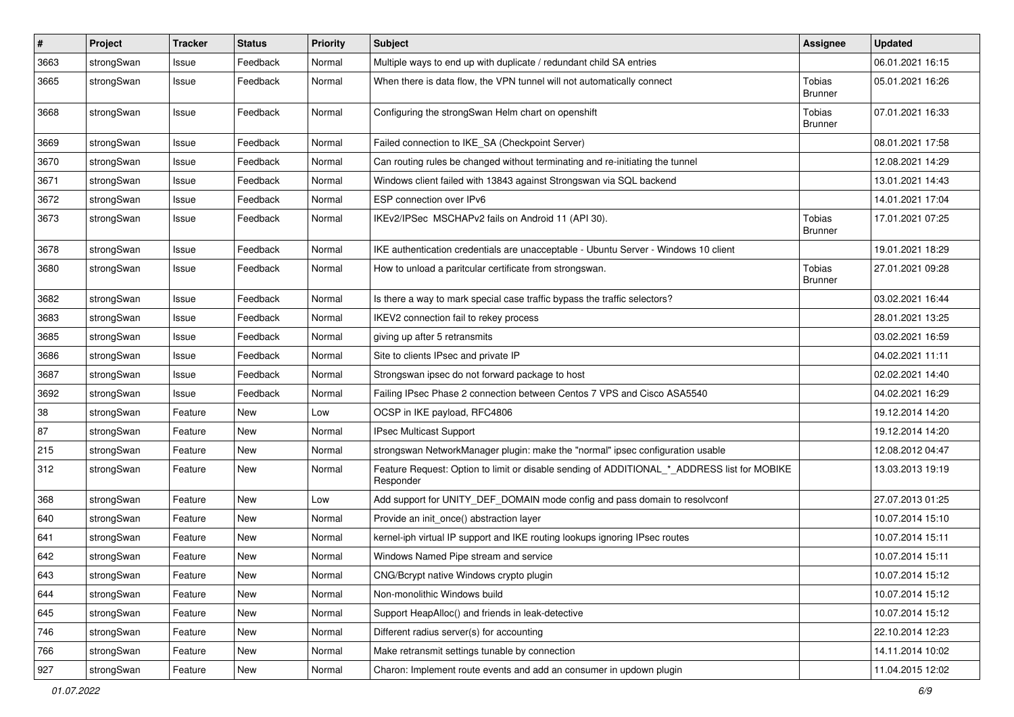| $\vert$ # | Project    | <b>Tracker</b> | <b>Status</b> | <b>Priority</b> | <b>Subject</b>                                                                                           | <b>Assignee</b>                 | <b>Updated</b>   |
|-----------|------------|----------------|---------------|-----------------|----------------------------------------------------------------------------------------------------------|---------------------------------|------------------|
| 3663      | strongSwan | Issue          | Feedback      | Normal          | Multiple ways to end up with duplicate / redundant child SA entries                                      |                                 | 06.01.2021 16:15 |
| 3665      | strongSwan | Issue          | Feedback      | Normal          | When there is data flow, the VPN tunnel will not automatically connect                                   | Tobias<br><b>Brunner</b>        | 05.01.2021 16:26 |
| 3668      | strongSwan | Issue          | Feedback      | Normal          | Configuring the strongSwan Helm chart on openshift                                                       | Tobias<br><b>Brunner</b>        | 07.01.2021 16:33 |
| 3669      | strongSwan | Issue          | Feedback      | Normal          | Failed connection to IKE SA (Checkpoint Server)                                                          |                                 | 08.01.2021 17:58 |
| 3670      | strongSwan | Issue          | Feedback      | Normal          | Can routing rules be changed without terminating and re-initiating the tunnel                            |                                 | 12.08.2021 14:29 |
| 3671      | strongSwan | Issue          | Feedback      | Normal          | Windows client failed with 13843 against Strongswan via SQL backend                                      |                                 | 13.01.2021 14:43 |
| 3672      | strongSwan | Issue          | Feedback      | Normal          | ESP connection over IPv6                                                                                 |                                 | 14.01.2021 17:04 |
| 3673      | strongSwan | Issue          | Feedback      | Normal          | IKEv2/IPSec MSCHAPv2 fails on Android 11 (API 30).                                                       | <b>Tobias</b><br>Brunner        | 17.01.2021 07:25 |
| 3678      | strongSwan | Issue          | Feedback      | Normal          | IKE authentication credentials are unacceptable - Ubuntu Server - Windows 10 client                      |                                 | 19.01.2021 18:29 |
| 3680      | strongSwan | Issue          | Feedback      | Normal          | How to unload a paritcular certificate from strongswan.                                                  | <b>Tobias</b><br><b>Brunner</b> | 27.01.2021 09:28 |
| 3682      | strongSwan | Issue          | Feedback      | Normal          | Is there a way to mark special case traffic bypass the traffic selectors?                                |                                 | 03.02.2021 16:44 |
| 3683      | strongSwan | Issue          | Feedback      | Normal          | IKEV2 connection fail to rekey process                                                                   |                                 | 28.01.2021 13:25 |
| 3685      | strongSwan | Issue          | Feedback      | Normal          | giving up after 5 retransmits                                                                            |                                 | 03.02.2021 16:59 |
| 3686      | strongSwan | Issue          | Feedback      | Normal          | Site to clients IPsec and private IP                                                                     |                                 | 04.02.2021 11:11 |
| 3687      | strongSwan | Issue          | Feedback      | Normal          | Strongswan ipsec do not forward package to host                                                          |                                 | 02.02.2021 14:40 |
| 3692      | strongSwan | Issue          | Feedback      | Normal          | Failing IPsec Phase 2 connection between Centos 7 VPS and Cisco ASA5540                                  |                                 | 04.02.2021 16:29 |
| 38        | strongSwan | Feature        | New           | Low             | OCSP in IKE payload, RFC4806                                                                             |                                 | 19.12.2014 14:20 |
| 87        | strongSwan | Feature        | New           | Normal          | IPsec Multicast Support                                                                                  |                                 | 19.12.2014 14:20 |
| 215       | strongSwan | Feature        | New           | Normal          | strongswan NetworkManager plugin: make the "normal" ipsec configuration usable                           |                                 | 12.08.2012 04:47 |
| 312       | strongSwan | Feature        | New           | Normal          | Feature Request: Option to limit or disable sending of ADDITIONAL_*_ADDRESS list for MOBIKE<br>Responder |                                 | 13.03.2013 19:19 |
| 368       | strongSwan | Feature        | New           | Low             | Add support for UNITY_DEF_DOMAIN mode config and pass domain to resolvconf                               |                                 | 27.07.2013 01:25 |
| 640       | strongSwan | Feature        | New           | Normal          | Provide an init once() abstraction layer                                                                 |                                 | 10.07.2014 15:10 |
| 641       | strongSwan | Feature        | New           | Normal          | kernel-iph virtual IP support and IKE routing lookups ignoring IPsec routes                              |                                 | 10.07.2014 15:11 |
| 642       | strongSwan | Feature        | New           | Normal          | Windows Named Pipe stream and service                                                                    |                                 | 10.07.2014 15:11 |
| 643       | strongSwan | Feature        | New           | Normal          | CNG/Bcrypt native Windows crypto plugin                                                                  |                                 | 10.07.2014 15:12 |
| 644       | strongSwan | Feature        | New           | Normal          | Non-monolithic Windows build                                                                             |                                 | 10.07.2014 15:12 |
| 645       | strongSwan | Feature        | New           | Normal          | Support HeapAlloc() and friends in leak-detective                                                        |                                 | 10.07.2014 15:12 |
| 746       | strongSwan | Feature        | New           | Normal          | Different radius server(s) for accounting                                                                |                                 | 22.10.2014 12:23 |
| 766       | strongSwan | Feature        | New           | Normal          | Make retransmit settings tunable by connection                                                           |                                 | 14.11.2014 10:02 |
| 927       | strongSwan | Feature        | New           | Normal          | Charon: Implement route events and add an consumer in updown plugin                                      |                                 | 11.04.2015 12:02 |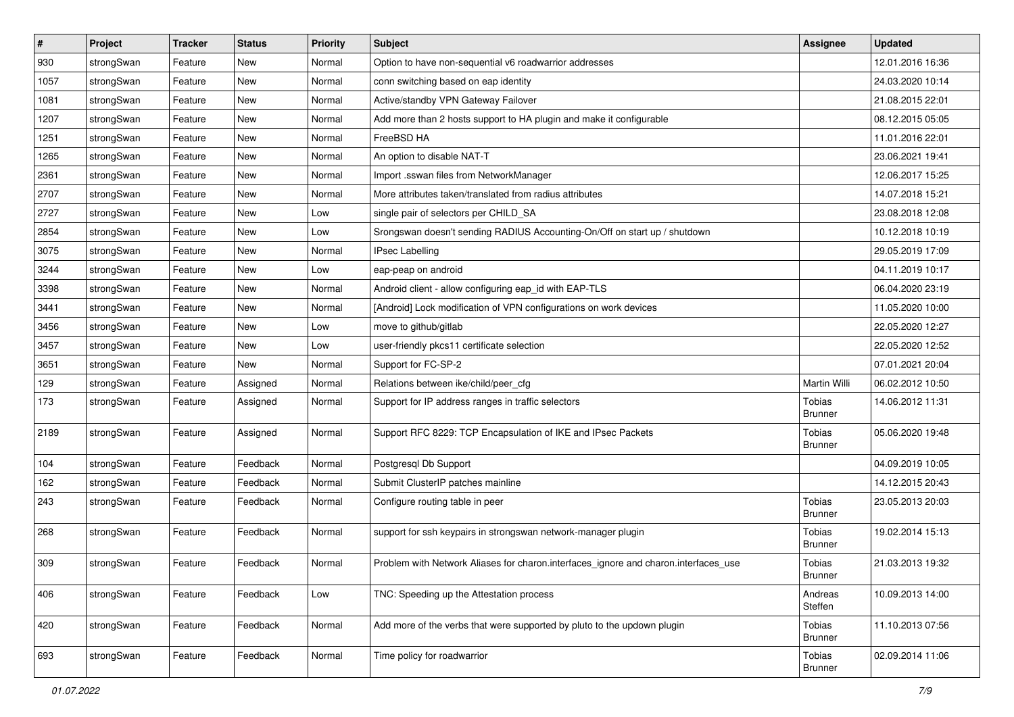| $\sharp$ | Project    | <b>Tracker</b> | <b>Status</b> | <b>Priority</b> | <b>Subject</b>                                                                      | <b>Assignee</b>                 | <b>Updated</b>   |
|----------|------------|----------------|---------------|-----------------|-------------------------------------------------------------------------------------|---------------------------------|------------------|
| 930      | strongSwan | Feature        | New           | Normal          | Option to have non-sequential v6 roadwarrior addresses                              |                                 | 12.01.2016 16:36 |
| 1057     | strongSwan | Feature        | New           | Normal          | conn switching based on eap identity                                                |                                 | 24.03.2020 10:14 |
| 1081     | strongSwan | Feature        | <b>New</b>    | Normal          | Active/standby VPN Gateway Failover                                                 |                                 | 21.08.2015 22:01 |
| 1207     | strongSwan | Feature        | New           | Normal          | Add more than 2 hosts support to HA plugin and make it configurable                 |                                 | 08.12.2015 05:05 |
| 1251     | strongSwan | Feature        | <b>New</b>    | Normal          | FreeBSD HA                                                                          |                                 | 11.01.2016 22:01 |
| 1265     | strongSwan | Feature        | New           | Normal          | An option to disable NAT-T                                                          |                                 | 23.06.2021 19:41 |
| 2361     | strongSwan | Feature        | New           | Normal          | Import .sswan files from NetworkManager                                             |                                 | 12.06.2017 15:25 |
| 2707     | strongSwan | Feature        | <b>New</b>    | Normal          | More attributes taken/translated from radius attributes                             |                                 | 14.07.2018 15:21 |
| 2727     | strongSwan | Feature        | <b>New</b>    | Low             | single pair of selectors per CHILD_SA                                               |                                 | 23.08.2018 12:08 |
| 2854     | strongSwan | Feature        | <b>New</b>    | Low             | Srongswan doesn't sending RADIUS Accounting-On/Off on start up / shutdown           |                                 | 10.12.2018 10:19 |
| 3075     | strongSwan | Feature        | New           | Normal          | <b>IPsec Labelling</b>                                                              |                                 | 29.05.2019 17:09 |
| 3244     | strongSwan | Feature        | New           | Low             | eap-peap on android                                                                 |                                 | 04.11.2019 10:17 |
| 3398     | strongSwan | Feature        | New           | Normal          | Android client - allow configuring eap_id with EAP-TLS                              |                                 | 06.04.2020 23:19 |
| 3441     | strongSwan | Feature        | <b>New</b>    | Normal          | [Android] Lock modification of VPN configurations on work devices                   |                                 | 11.05.2020 10:00 |
| 3456     | strongSwan | Feature        | <b>New</b>    | Low             | move to github/gitlab                                                               |                                 | 22.05.2020 12:27 |
| 3457     | strongSwan | Feature        | New           | Low             | user-friendly pkcs11 certificate selection                                          |                                 | 22.05.2020 12:52 |
| 3651     | strongSwan | Feature        | <b>New</b>    | Normal          | Support for FC-SP-2                                                                 |                                 | 07.01.2021 20:04 |
| 129      | strongSwan | Feature        | Assigned      | Normal          | Relations between ike/child/peer_cfg                                                | <b>Martin Willi</b>             | 06.02.2012 10:50 |
| 173      | strongSwan | Feature        | Assigned      | Normal          | Support for IP address ranges in traffic selectors                                  | Tobias<br><b>Brunner</b>        | 14.06.2012 11:31 |
| 2189     | strongSwan | Feature        | Assigned      | Normal          | Support RFC 8229: TCP Encapsulation of IKE and IPsec Packets                        | <b>Tobias</b><br><b>Brunner</b> | 05.06.2020 19:48 |
| 104      | strongSwan | Feature        | Feedback      | Normal          | Postgresql Db Support                                                               |                                 | 04.09.2019 10:05 |
| 162      | strongSwan | Feature        | Feedback      | Normal          | Submit ClusterIP patches mainline                                                   |                                 | 14.12.2015 20:43 |
| 243      | strongSwan | Feature        | Feedback      | Normal          | Configure routing table in peer                                                     | Tobias<br><b>Brunner</b>        | 23.05.2013 20:03 |
| 268      | strongSwan | Feature        | Feedback      | Normal          | support for ssh keypairs in strongswan network-manager plugin                       | Tobias<br><b>Brunner</b>        | 19.02.2014 15:13 |
| 309      | strongSwan | Feature        | Feedback      | Normal          | Problem with Network Aliases for charon.interfaces_ignore and charon.interfaces_use | Tobias<br><b>Brunner</b>        | 21.03.2013 19:32 |
| 406      | strongSwan | Feature        | Feedback      | Low             | TNC: Speeding up the Attestation process                                            | Andreas<br>Steffen              | 10.09.2013 14:00 |
| 420      | strongSwan | Feature        | Feedback      | Normal          | Add more of the verbs that were supported by pluto to the updown plugin             | Tobias<br><b>Brunner</b>        | 11.10.2013 07:56 |
| 693      | strongSwan | Feature        | Feedback      | Normal          | Time policy for roadwarrior                                                         | Tobias<br><b>Brunner</b>        | 02.09.2014 11:06 |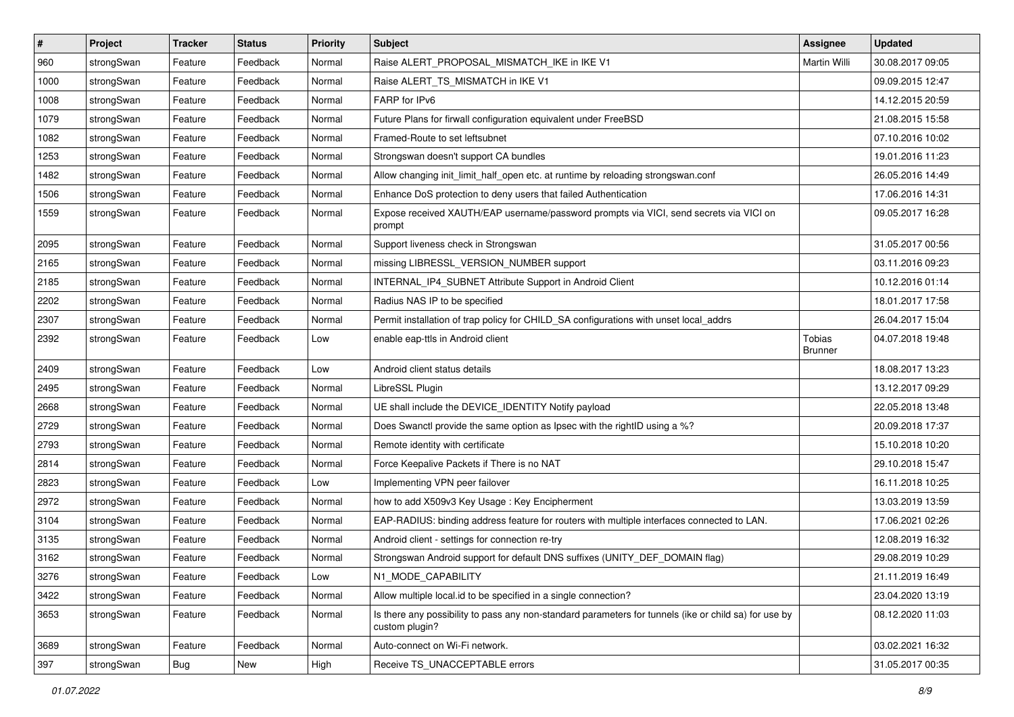| $\pmb{\#}$ | Project    | <b>Tracker</b> | <b>Status</b> | <b>Priority</b> | <b>Subject</b>                                                                                                          | <b>Assignee</b>                 | <b>Updated</b>   |
|------------|------------|----------------|---------------|-----------------|-------------------------------------------------------------------------------------------------------------------------|---------------------------------|------------------|
| 960        | strongSwan | Feature        | Feedback      | Normal          | Raise ALERT_PROPOSAL_MISMATCH_IKE in IKE V1                                                                             | Martin Willi                    | 30.08.2017 09:05 |
| 1000       | strongSwan | Feature        | Feedback      | Normal          | Raise ALERT_TS_MISMATCH in IKE V1                                                                                       |                                 | 09.09.2015 12:47 |
| 1008       | strongSwan | Feature        | Feedback      | Normal          | FARP for IPv6                                                                                                           |                                 | 14.12.2015 20:59 |
| 1079       | strongSwan | Feature        | Feedback      | Normal          | Future Plans for firwall configuration equivalent under FreeBSD                                                         |                                 | 21.08.2015 15:58 |
| 1082       | strongSwan | Feature        | Feedback      | Normal          | Framed-Route to set leftsubnet                                                                                          |                                 | 07.10.2016 10:02 |
| 1253       | strongSwan | Feature        | Feedback      | Normal          | Strongswan doesn't support CA bundles                                                                                   |                                 | 19.01.2016 11:23 |
| 1482       | strongSwan | Feature        | Feedback      | Normal          | Allow changing init_limit_half_open etc. at runtime by reloading strongswan.conf                                        |                                 | 26.05.2016 14:49 |
| 1506       | strongSwan | Feature        | Feedback      | Normal          | Enhance DoS protection to deny users that failed Authentication                                                         |                                 | 17.06.2016 14:31 |
| 1559       | strongSwan | Feature        | Feedback      | Normal          | Expose received XAUTH/EAP username/password prompts via VICI, send secrets via VICI on<br>prompt                        |                                 | 09.05.2017 16:28 |
| 2095       | strongSwan | Feature        | Feedback      | Normal          | Support liveness check in Strongswan                                                                                    |                                 | 31.05.2017 00:56 |
| 2165       | strongSwan | Feature        | Feedback      | Normal          | missing LIBRESSL_VERSION_NUMBER support                                                                                 |                                 | 03.11.2016 09:23 |
| 2185       | strongSwan | Feature        | Feedback      | Normal          | INTERNAL_IP4_SUBNET Attribute Support in Android Client                                                                 |                                 | 10.12.2016 01:14 |
| 2202       | strongSwan | Feature        | Feedback      | Normal          | Radius NAS IP to be specified                                                                                           |                                 | 18.01.2017 17:58 |
| 2307       | strongSwan | Feature        | Feedback      | Normal          | Permit installation of trap policy for CHILD_SA configurations with unset local_addrs                                   |                                 | 26.04.2017 15:04 |
| 2392       | strongSwan | Feature        | Feedback      | Low             | enable eap-ttls in Android client                                                                                       | <b>Tobias</b><br><b>Brunner</b> | 04.07.2018 19:48 |
| 2409       | strongSwan | Feature        | Feedback      | Low             | Android client status details                                                                                           |                                 | 18.08.2017 13:23 |
| 2495       | strongSwan | Feature        | Feedback      | Normal          | LibreSSL Plugin                                                                                                         |                                 | 13.12.2017 09:29 |
| 2668       | strongSwan | Feature        | Feedback      | Normal          | UE shall include the DEVICE_IDENTITY Notify payload                                                                     |                                 | 22.05.2018 13:48 |
| 2729       | strongSwan | Feature        | Feedback      | Normal          | Does Swanctl provide the same option as Ipsec with the rightID using a %?                                               |                                 | 20.09.2018 17:37 |
| 2793       | strongSwan | Feature        | Feedback      | Normal          | Remote identity with certificate                                                                                        |                                 | 15.10.2018 10:20 |
| 2814       | strongSwan | Feature        | Feedback      | Normal          | Force Keepalive Packets if There is no NAT                                                                              |                                 | 29.10.2018 15:47 |
| 2823       | strongSwan | Feature        | Feedback      | Low             | Implementing VPN peer failover                                                                                          |                                 | 16.11.2018 10:25 |
| 2972       | strongSwan | Feature        | Feedback      | Normal          | how to add X509v3 Key Usage: Key Encipherment                                                                           |                                 | 13.03.2019 13:59 |
| 3104       | strongSwan | Feature        | Feedback      | Normal          | EAP-RADIUS: binding address feature for routers with multiple interfaces connected to LAN.                              |                                 | 17.06.2021 02:26 |
| 3135       | strongSwan | Feature        | Feedback      | Normal          | Android client - settings for connection re-try                                                                         |                                 | 12.08.2019 16:32 |
| 3162       | strongSwan | Feature        | Feedback      | Normal          | Strongswan Android support for default DNS suffixes (UNITY_DEF_DOMAIN flag)                                             |                                 | 29.08.2019 10:29 |
| 3276       | strongSwan | Feature        | Feedback      | Low             | N1_MODE_CAPABILITY                                                                                                      |                                 | 21.11.2019 16:49 |
| 3422       | strongSwan | Feature        | Feedback      | Normal          | Allow multiple local.id to be specified in a single connection?                                                         |                                 | 23.04.2020 13:19 |
| 3653       | strongSwan | Feature        | Feedback      | Normal          | Is there any possibility to pass any non-standard parameters for tunnels (ike or child sa) for use by<br>custom plugin? |                                 | 08.12.2020 11:03 |
| 3689       | strongSwan | Feature        | Feedback      | Normal          | Auto-connect on Wi-Fi network.                                                                                          |                                 | 03.02.2021 16:32 |
| 397        | strongSwan | Bug            | New           | High            | Receive TS_UNACCEPTABLE errors                                                                                          |                                 | 31.05.2017 00:35 |